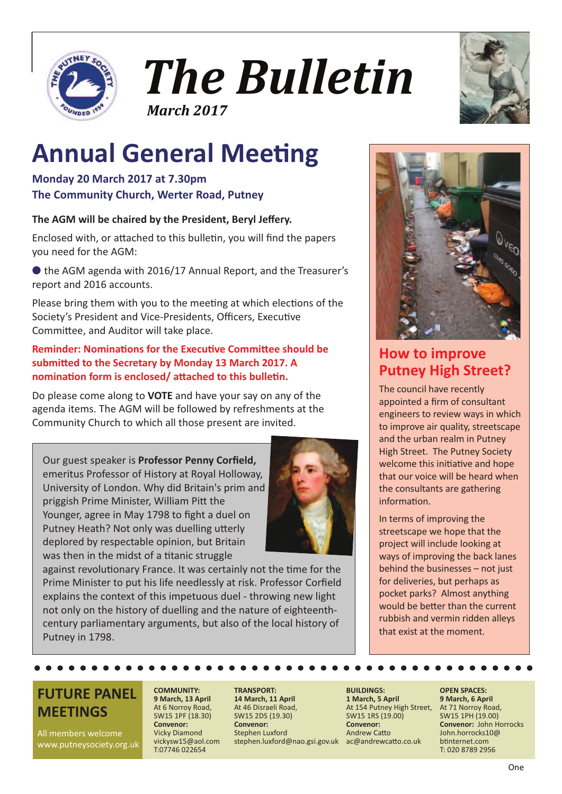



# **Annual General Meeting**

#### **Monday 20 March 2017 at 7.30pm The Community Church, Werter Road, Putney**

#### **The AGM will be chaired by the President, Beryl Jeffery.**

Enclosed with, or attached to this bulletin, you will find the papers you need for the AGM:

● the AGM agenda with 2016/17 Annual Report, and the Treasurer's report and 2016 accounts.

Please bring them with you to the meeting at which elections of the Society's President and Vice-Presidents, Officers, Executive Committee, and Auditor will take place.

#### **Reminder: Nominations for the Executive Committee should be submitted to the Secretary by Monday 13 March 2017. A nomination form is enclosed/ attached to this bulletin.**

Do please come along to **VOTE** and have your say on any of the agenda items. The AGM will be followed by refreshments at the Community Church to which all those present are invited.

Our guest speaker is **Professor Penny Corfield,** emeritus Professor of History at Royal Holloway, University of London. Why did Britain's prim and priggish Prime Minister, William Pitt the Younger, agree in May 1798 to fight a duel on Putney Heath? Not only was duelling utterly deplored by respectable opinion, but Britain was then in the midst of a titanic struggle



against revolutionary France. It was certainly not the time for the Prime Minister to put his life needlessly at risk. Professor Corfield explains the context of this impetuous duel - throwing new light not only on the history of duelling and the nature of eighteenthcentury parliamentary arguments, but also of the local history of Putney in 1798.

**COMMUNITY:**

At 6 Norroy Road, SW15 1PF (18.30) **Convenor:** Vicky Diamond vickysw15@aol.com T:07746 022654





### **How to improve Putney High Street?**

The council have recently appointed a firm of consultant engineers to review ways in which to improve air quality, streetscape and the urban realm in Putney High Street. The Putney Society welcome this initiative and hope that our voice will be heard when the consultants are gathering information.

In terms of improving the streetscape we hope that the project will include looking at ways of improving the back lanes behind the businesses – not just for deliveries, but perhaps as pocket parks? Almost anything would be better than the current rubbish and vermin ridden alleys that exist at the moment.

### **FUTURE PANEL MEETINGS**

All members welcome www.putneysociety.org.uk

#### **9 March, 13 April TRANSPORT:**

**14 March, 11 April** At 46 Disraeli Road, SW15 2DS (19.30) **Convenor:** Stephen Luxford stephen.luxford@nao.gsi.gov.uk ac@andrewcatto.co.uk

#### **BUILDINGS: 1 March, 5 April** At 154 Putney High Street, SW15 1RS (19.00) **Convenor:** Andrew Catto

#### **OPEN SPACES: 9 March, 6 April** At 71 Norroy Road, SW15 1PH (19.00) **Convenor:** John Horrocks John.horrocks10@ btinternet.com T: 020 8789 2956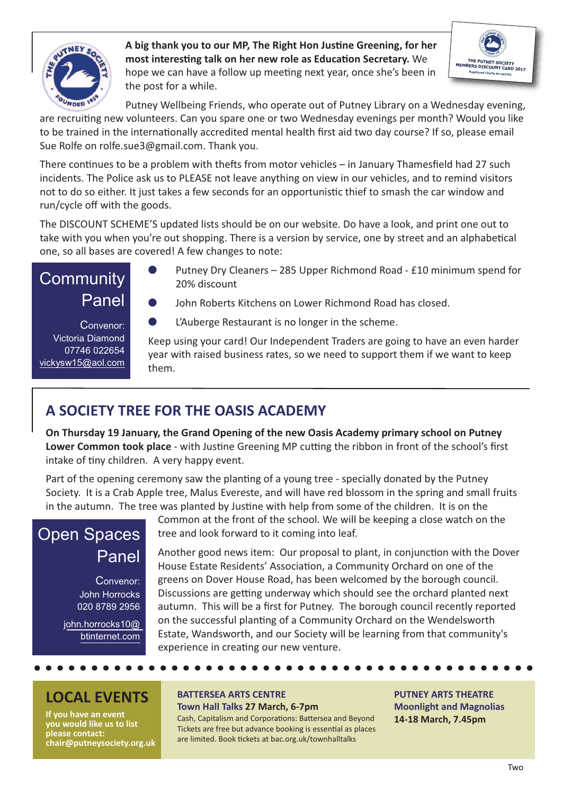

#### **A big thank you to our MP, The Right Hon Justine Greening, for her most interesting talk on her new role as Education Secretary.** We hope we can have a follow up meeting next year, once she's been in the post for a while.



Putney Wellbeing Friends, who operate out of Putney Library on a Wednesday evening, are recruiting new volunteers. Can you spare one or two Wednesday evenings per month? Would you like

to be trained in the internationally accredited mental health first aid two day course? If so, please email Sue Rolfe on rolfe.sue3@gmail.com. Thank you.

There continues to be a problem with thefts from motor vehicles – in January Thamesfield had 27 such incidents. The Police ask us to PLEASE not leave anything on view in our vehicles, and to remind visitors not to do so either. It just takes a few seconds for an opportunistic thief to smash the car window and run/cycle off with the goods.

The DISCOUNT SCHEME'S updated lists should be on our website. Do have a look, and print one out to take with you when you're out shopping. There is a version by service, one by street and an alphabetical one, so all bases are covered! A few changes to note:

### **Community** Panel

Convenor: Victoria Diamond 07746 022654 vickysw15@aol.com

- Putney Dry Cleaners 285 Upper Richmond Road £10 minimum spend for 20% discount
- John Roberts Kitchens on Lower Richmond Road has closed.
- L'Auberge Restaurant is no longer in the scheme.

Keep using your card! Our Independent Traders are going to have an even harder year with raised business rates, so we need to support them if we want to keep them.

### **A SOCIETY TREE FOR THE OASIS ACADEMY**

**On Thursday 19 January, the Grand Opening of the new Oasis Academy primary school on Putney Lower Common took place** - with Justine Greening MP cutting the ribbon in front of the school's first intake of tiny children. A very happy event.

Part of the opening ceremony saw the planting of a young tree - specially donated by the Putney Society. It is a Crab Apple tree, Malus Evereste, and will have red blossom in the spring and small fruits in the autumn. The tree was planted by Justine with help from some of the children. It is on the

### Open Spaces Panel

Convenor: John Horrocks 020 8789 2956

john.horrocks10@ btinternet.com

Common at the front of the school. We will be keeping a close watch on the tree and look forward to it coming into leaf.

Another good news item: Our proposal to plant, in conjunction with the Dover House Estate Residents' Association, a Community Orchard on one of the greens on Dover House Road, has been welcomed by the borough council. Discussions are getting underway which should see the orchard planted next autumn. This will be a first for Putney. The borough council recently reported on the successful planting of a Community Orchard on the Wendelsworth Estate, Wandsworth, and our Society will be learning from that community's experience in creating our new venture.

### **LOCAL EVENTS**

**If you have an event you would like us to list please contact: chair@putneysociety.org.uk**

#### **BATTERSEA ARTS CENTRE Town Hall Talks 27 March, 6-7pm**

Cash, Capitalism and Corporations: Battersea and Beyond Tickets are free but advance booking is essential as places are limited. Book tickets at bac.org.uk/townhalltalks

**PUTNEY ARTS THEATRE Moonlight and Magnolias 14-18 March, 7.45pm**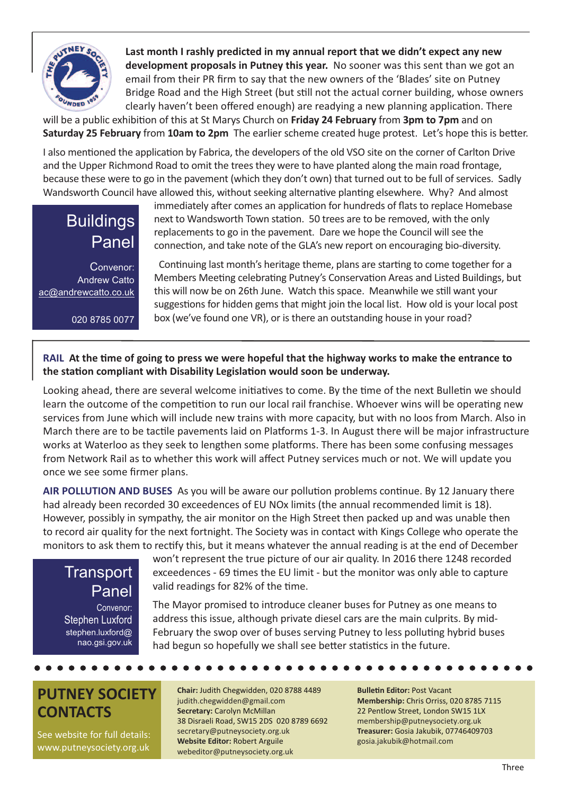

 **Last month I rashly predicted in my annual report that we didn't expect any new development proposals in Putney this year.** No sooner was this sent than we got an email from their PR firm to say that the new owners of the 'Blades' site on Putney Bridge Road and the High Street (but still not the actual corner building, whose owners clearly haven't been offered enough) are readying a new planning application. There

will be a public exhibition of this at St Marys Church on **Friday 24 February** from **3pm to 7pm** and on **Saturday 25 February** from **10am to 2pm** The earlier scheme created huge protest. Let's hope this is better.

I also mentioned the application by Fabrica, the developers of the old VSO site on the corner of Carlton Drive and the Upper Richmond Road to omit the trees they were to have planted along the main road frontage, because these were to go in the pavement (which they don't own) that turned out to be full of services. Sadly Wandsworth Council have allowed this, without seeking alternative planting elsewhere. Why? And almost

### **Buildings** Panel

Convenor: Andrew Catto ac@andrewcatto.co.uk

020 8785 0077

immediately after comes an application for hundreds of flats to replace Homebase next to Wandsworth Town station. 50 trees are to be removed, with the only replacements to go in the pavement. Dare we hope the Council will see the connection, and take note of the GLA's new report on encouraging bio-diversity.

Continuing last month's heritage theme, plans are starting to come together for a Members Meeting celebrating Putney's Conservation Areas and Listed Buildings, but this will now be on 26th June. Watch this space. Meanwhile we still want your suggestions for hidden gems that might join the local list. How old is your local post box (we've found one VR), or is there an outstanding house in your road?

#### RAIL At the time of going to press we were hopeful that the highway works to make the entrance to **the station compliant with Disability Legislation would soon be underway.**

Looking ahead, there are several welcome initiatives to come. By the time of the next Bulletin we should learn the outcome of the competition to run our local rail franchise. Whoever wins will be operating new services from June which will include new trains with more capacity, but with no loos from March. Also in March there are to be tactile pavements laid on Platforms 1-3. In August there will be major infrastructure works at Waterloo as they seek to lengthen some platforms. There has been some confusing messages from Network Rail as to whether this work will affect Putney services much or not. We will update you once we see some firmer plans.

**AIR POLLUTION AND BUSES** As you will be aware our pollution problems continue. By 12 January there had already been recorded 30 exceedences of EU NOx limits (the annual recommended limit is 18). However, possibly in sympathy, the air monitor on the High Street then packed up and was unable then to record air quality for the next fortnight. The Society was in contact with Kings College who operate the monitors to ask them to rectify this, but it means whatever the annual reading is at the end of December

### **Transport** Panel

Convenor: Stephen Luxford stephen.luxford@ nao.gsi.gov.uk won't represent the true picture of our air quality. In 2016 there 1248 recorded exceedences - 69 times the EU limit - but the monitor was only able to capture valid readings for 82% of the time.

The Mayor promised to introduce cleaner buses for Putney as one means to address this issue, although private diesel cars are the main culprits. By mid-February the swop over of buses serving Putney to less polluting hybrid buses had begun so hopefully we shall see better statistics in the future.

### **PUTNEY SOCIETY CONTACTS**

See website for full details: www.putneysociety.org.uk

**Chair:** Judith Chegwidden, 020 8788 4489 judith.chegwidden@gmail.com **Secretary:** Carolyn McMillan 38 Disraeli Road, SW15 2DS 020 8789 6692 secretary@putneysociety.org.uk **Website Editor:** Robert Arguile webeditor@putneysociety.org.uk

**Bulletin Editor:** Post Vacant **Membership:** Chris Orriss, 020 8785 7115 22 Pentlow Street, London SW15 1LX membership@putneysociety.org.uk **Treasurer:** Gosia Jakubik, 07746409703 gosia.jakubik@hotmail.com